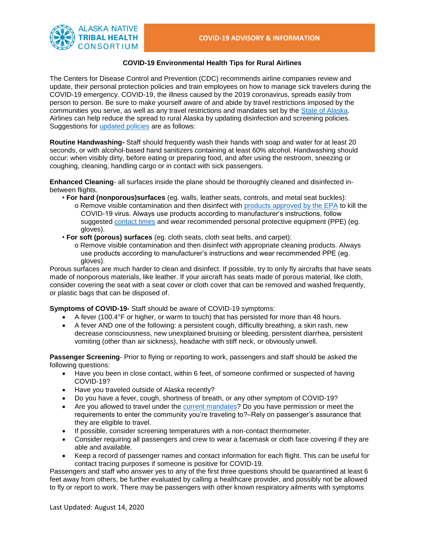

## **COVID-19 Environmental Health Tips for Rural Airlines**

The Centers for Disease Control and Prevention (CDC) recommends airline companies review and update, their personal protection policies and train employees on how to manage sick travelers during the COVID-19 emergency. COVID-19, the illness caused by the 2019 coronavirus, spreads easily from person to person. Be sure to make yourself aware of and abide by travel restrictions imposed by the communities you serve, as well as any travel restrictions and mandates set by the [State of Alaska.](http://dhss.alaska.gov/dph/Epi/id/Pages/COVID-19/default.aspx) Airlines can help reduce the spread to rural Alaska by updating disinfection and screening policies. Suggestions for [updated policies](https://www.cdc.gov/quarantine/air/managing-sick-travelers/ncov-airlines.html) are as follows:

**Routine Handwashing-** Staff should frequently wash their hands with soap and water for at least 20 seconds, or with alcohol-based hand sanitizers containing at least 60% alcohol. Handwashing should occur: when visibly dirty, before eating or preparing food, and after using the restroom, sneezing or coughing, cleaning, handling cargo or in contact with sick passengers.

**Enhanced Cleaning**- all surfaces inside the plane should be thoroughly cleaned and disinfected inbetween flights.

- **For hard (nonporous)surfaces** (eg. walls, leather seats, controls, and metal seat buckles):
	- o Remove visible contamination and then disinfect with [products approved by the EPA](https://www.epa.gov/pesticide-registration/list-n-disinfectants-use-against-sars-cov-2-covid-19) to kill the COVID-19 virus. Always use products according to manufacturer's instructions, follow suggested [contact times](https://www.ecri.org/components/HDJournal/Pages/Disinfectant-Concentrations-for-EPA-list-N-COVID-19.aspx?tab=2) and wear recommended personal protective equipment (PPE) (eg. gloves).
- **For soft (porous) surfaces** (eg. cloth seats, cloth seat belts, and carpet):
	- o Remove visible contamination and then disinfect with appropriate cleaning products. Always use products according to manufacturer's instructions and wear recommended PPE (eg. gloves).

Porous surfaces are much harder to clean and disinfect. If possible, try to only fly aircrafts that have seats made of nonporous materials, like leather. If your aircraft has seats made of porous material, like cloth, consider covering the seat with a seat cover or cloth cover that can be removed and washed frequently, or plastic bags that can be disposed of.

**Symptoms of COVID-19-** Staff should be aware of COVID-19 symptoms:

- A fever (100.4°F or higher, or warm to touch) that has persisted for more than 48 hours.
- A fever AND one of the following: a persistent cough, difficulty breathing, a skin rash, new decrease consciousness, new unexplained bruising or bleeding, persistent diarrhea, persistent vomiting (other than air sickness), headache with stiff neck, or obviously unwell.

**Passenger Screening**- Prior to flying or reporting to work, passengers and staff should be asked the following questions:

- Have you been in close contact, within 6 feet, of someone confirmed or suspected of having COVID-19?
- Have you traveled outside of Alaska recently?
- Do you have a fever, cough, shortness of breath, or any other symptom of COVID-19?
- Are you allowed to travel under the [current mandates?](https://covid19.alaska.gov/health-mandates/) Do you have permission or meet the requirements to enter the community you're traveling to?–Rely on passenger's assurance that they are eligible to travel.
- If possible, consider screening temperatures with a non-contact thermometer.
- Consider requiring all passengers and crew to wear a facemask or cloth face covering if they are able and available.
- Keep a record of passenger names and contact information for each flight. This can be useful for contact tracing purposes if someone is positive for COVID-19.

Passengers and staff who answer yes to any of the first three questions should be quarantined at least 6 feet away from others, be further evaluated by calling a healthcare provider, and possibly not be allowed to fly or report to work. There may be passengers with other known respiratory ailments with symptoms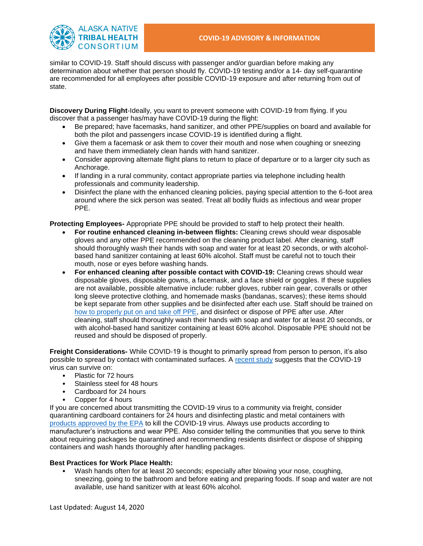

similar to COVID-19. Staff should discuss with passenger and/or guardian before making any determination about whether that person should fly. COVID-19 testing and/or a 14- day self-quarantine are recommended for all employees after possible COVID-19 exposure and after returning from out of state.

**Discovery During Flight**-Ideally, you want to prevent someone with COVID-19 from flying. If you discover that a passenger has/may have COVID-19 during the flight:

- Be prepared; have facemasks, hand sanitizer, and other PPE/supplies on board and available for both the pilot and passengers incase COVID-19 is identified during a flight.
- Give them a facemask or ask them to cover their mouth and nose when coughing or sneezing and have them immediately clean hands with hand sanitizer.
- Consider approving alternate flight plans to return to place of departure or to a larger city such as Anchorage.
- If landing in a rural community, contact appropriate parties via telephone including health professionals and community leadership.
- Disinfect the plane with the enhanced cleaning policies, paying special attention to the 6-foot area around where the sick person was seated. Treat all bodily fluids as infectious and wear proper PPE.

**Protecting Employees-** Appropriate PPE should be provided to staff to help protect their health.

- **For routine enhanced cleaning in-between flights:** Cleaning crews should wear disposable gloves and any other PPE recommended on the cleaning product label. After cleaning, staff should thoroughly wash their hands with soap and water for at least 20 seconds, or with alcoholbased hand sanitizer containing at least 60% alcohol. Staff must be careful not to touch their mouth, nose or eyes before washing hands.
- **For enhanced cleaning after possible contact with COVID-19:** Cleaning crews should wear disposable gloves, disposable gowns, a facemask, and a face shield or goggles. If these supplies are not available, possible alternative include: rubber gloves, rubber rain gear, coveralls or other long sleeve protective clothing, and homemade masks (bandanas, scarves); these items should be kept separate from other supplies and be disinfected after each use. Staff should be trained on [how to properly put on and take off PPE,](https://www.cdc.gov/hai/pdfs/ppe/ppe-sequence.pdf) and disinfect or dispose of PPE after use. After cleaning, staff should thoroughly wash their hands with soap and water for at least 20 seconds, or with alcohol-based hand sanitizer containing at least 60% alcohol. Disposable PPE should not be reused and should be disposed of properly.

**Freight Considerations-** While COVID-19 is thought to primarily spread from person to person, it's also possible to spread by contact with contaminated surfaces. A [recent study](https://www.nejm.org/doi/pdf/10.1056/NEJMc2004973?articleTools=true) suggests that the COVID-19 virus can survive on:

- Plastic for 72 hours
- Stainless steel for 48 hours
- Cardboard for 24 hours
- Copper for 4 hours

If you are concerned about transmitting the COVID-19 virus to a community via freight, consider quarantining cardboard containers for 24 hours and disinfecting plastic and metal containers with [products approved by the EPA](https://www.epa.gov/pesticide-registration/list-n-disinfectants-use-against-sars-cov-2-covid-19) to kill the COVID-19 virus. Always use products according to manufacturer's instructions and wear PPE. Also consider telling the communities that you serve to think about requiring packages be quarantined and recommending residents disinfect or dispose of shipping containers and wash hands thoroughly after handling packages.

## **Best Practices for Work Place Health:**

• Wash hands often for at least 20 seconds; especially after blowing your nose, coughing, sneezing, going to the bathroom and before eating and preparing foods. If soap and water are not available, use hand sanitizer with at least 60% alcohol.